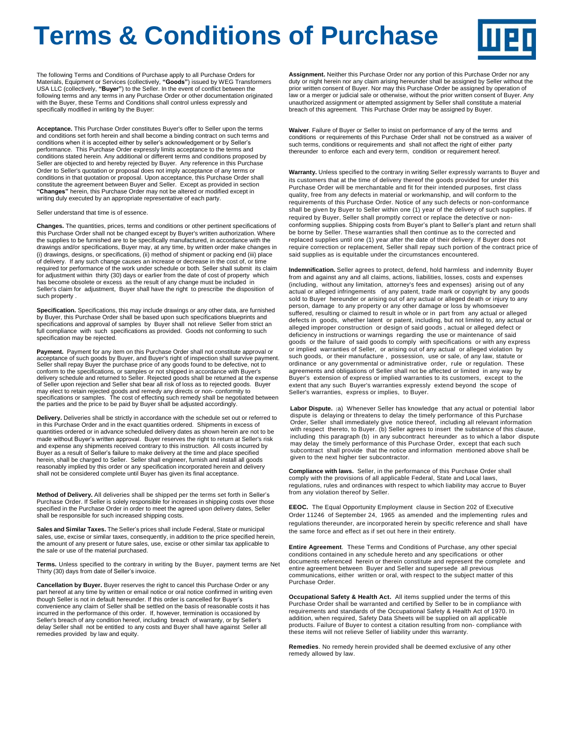## **Terms & Conditions of Purchase**



The following Terms and Conditions of Purchase apply to all Purchase Orders for Materials, Equipment or Services (collectively, **"Goods"**) issued by WEG Transformers USA LLC (collectively, **"Buyer"**) to the Seller. In the event of conflict between the following terms and any terms in any Purchase Order or other documentation originated with the Buyer, these Terms and Conditions shall control unless expressly and specifically modified in writing by the Buyer:

**Acceptance.** This Purchase Order constitutes Buyer's offer to Seller upon the terms and conditions set forth herein and shall become a binding contract on such terms and conditions when it is accepted either by seller's acknowledgement or by Seller's performance. This Purchase Order expressly limits acceptance to the terms and conditions stated herein. Any additional or different terms and conditions proposed by Seller are objected to and hereby rejected by Buyer. Any reference in this Purchase Order to Seller's quotation or proposal does not imply acceptance of any terms or conditions in that quotation or proposal. Upon acceptance, this Purchase Order shall constitute the agreement between Buyer and Seller. Except as provided in section **"Changes"** herein, this Purchase Order may not be altered or modified except in writing duly executed by an appropriate representative of each party.

Seller understand that time is of essence.

**Changes.** The quantities, prices, terms and conditions or other pertinent specifications of this Purchase Order shall not be changed except by Buyer's written authorization. Where the supplies to be furnished are to be specifically manufactured, in accordance with the drawings and/or specifications, Buyer may, at any time, by written order make changes in (i) drawings, designs, or specifications, (ii) method of shipment or packing end (iii) place of delivery. If any such change causes an increase or decrease in the cost of, or time required tor performance of the work under schedule or both. Seller shall submit its claim for adjustment within thirty (30) days or earlier from the date of cost of property which has become obsolete or excess as the result of any change must be included in Seller's claim for adjustment, Buyer shall have the right to prescribe the disposition of such property .

**Specification.** Specifications, this may include drawings or any other data, are furnished by Buyer, this Purchase Order shall be based upon such specifications blueprints and specifications and approval of samples by Buyer shall not relieve Seller from strict an full compliance with such specifications as provided. Goods not conforming to such specification may be rejected.

**Payment.** Payment for any item on this Purchase Order shall not constitute approval or acceptance of such goods by Buyer, and Buyer's right of inspection shall survive payment. Seller shall repay Buyer the purchase price of any goods found to be defective, not to conform to the specifications, or samples or not shipped in accordance with Buyer's delivery schedule and returned to Seller. Rejected goods shall be returned at the expense of Seller upon rejection and Seller shat bear all risk of loss as to rejected goods. Buyer may elect to retain rejected goods and remedy any directs or non- conformity to specifications or samples. The cost of effecting such remedy shall be negotiated between the parties and the price to be paid by Buyer shall be adjusted accordingly.

**Delivery.** Deliveries shall be strictly in accordance with the schedule set out or referred to in this Purchase Order and in the exact quantities ordered. Shipments in excess of quantities ordered or in advance scheduled delivery dates as shown herein are not to be made without Buyer's written approval. Buyer reserves the right to return at Seller's risk and expense any shipments received contrary to this instruction. All costs incurred by Buyer as a result of Seller's failure to make delivery at the time and place specified herein, shall be charged to Seller. Seller shall engineer, furnish and install all goods reasonably implied by this order or any specification incorporated herein and delivery shall not be considered complete until Buyer has given its final acceptance.

**Method of Delivery.** All deliveries shall be shipped per the terms set forth in Seller's Purchase Order. If Seller is solely responsible for increases in shipping costs over those specified in the Purchase Order in order to meet the agreed upon delivery dates, Seller shall be responsible for such increased shipping costs.

**Sales and Similar Taxes.** The Seller's prices shall include Federal, State or municipal sales, use, excise or similar taxes, consequently, in addition to the price specified herein, the amount of any present or future sales, use, excise or other similar tax applicable to the sale or use of the material purchased.

**Terms.** Unless specified to the contrary in writing by the Buyer, payment terms are Net Thirty (30) days from date of Seller's invoice.

**Cancellation by Buyer.** Buyer reserves the right to cancel this Purchase Order or any part hereof at any time by written or email notice or oral notice confirmed in writing even though Seller is not in default hereunder. If this order is cancelled for Buyer's convenience any claim of Seller shall be settled on the basis of reasonable costs it has incurred in the performance of this order. If, however, termination is occasioned by Seller's breach of any condition hereof, including breach of warranty, or by Seller's delay Seller shall not be entitled to any costs and Buyer shall have against Seller all remedies provided by law and equity.

**Assignment.** Neither this Purchase Order nor any portion of this Purchase Order nor any duty or night herein nor any claim arising hereunder shall be assigned by Seller without the prior written consent of Buyer. Nor may this Purchase Order be assigned by operation of law or a merger or judicial sale or otherwise, without the prior written consent of Buyer. Any unauthorized assignment or attempted assignment by Seller shall constitute a material breach of this agreement. This Purchase Order may be assigned by Buyer.

**Waiver**. Failure of Buyer or Seller to insist on performance of any of the terms and conditions or requirements of this Purchase Order shall not be construed as a waiver of such terms, conditions or requirements and shall not affect the right of either party thereunder to enforce each and every term, condition or requirement hereof.

**Warranty.** Unless specified to the contrary in writing Seller expressly warrants to Buyer and its customers that at the time of delivery thereof the goods provided for under this Purchase Order will be merchantable and fit for their intended purposes, first class quality, free from any defects in material or workmanship, and will conform to the requirements of this Purchase Order. Notice of any such defects or non-conformance shall be given by Buyer to Seller within one (1) year of the delivery of such supplies. If required by Buyer, Seller shall promptly correct or replace the detective or nonconforming supplies. Shipping costs from Buyer's plant to Seller's plant and return shall be borne by Seller. These warranties shall then continue as to the corrected and replaced supplies until one (1) year after the date of their delivery. If Buyer does not require correction or replacement, Seller shall repay such portion of the contract price of said supplies as is equitable under the circumstances encountered.

**Indemnification.** Seller agrees to protect, defend, hold harmless and indemnity Buyer from and against any and all claims, actions, liabilities, losses, costs and expenses (including, without any limitation, attorney's fees and expenses) arising out of any actual or alleged infringements of any patent, trade mark or copyright by any goods sold to Buyer hereunder or arising out of any actual or alleged death or injury to any person, damage to any property or any other damage or loss by whomsoever suffered, resulting or claimed to result in whole or in part from any actual or alleged defects in goods, whether latent or patent, including, but not limited to, any actual or alleged improper construction or design of said goods , actual or alleged defect or deficiency in instructions or warnings regarding the use or maintenance of said goods or the failure of said goods to comply with specifications or with any express or implied warranties of Seller, or arising out of any actual or alleged violation by such goods, or their manufacture , possession, use or sale, of any law, statute or ordinance or any governmental or administrative order, rule or regulation. These agreements and obligations of Seller shall not be affected or limited in any way by Buyer's extension of express or implied warranties to its customers, except to the extent that any such Buyer's warranties expressly extend beyond the scope of Seller's warranties, express or implies, to Buyer.

**Labor Dispute.** (a) Whenever Seller has knowledge that any actual or potential labor dispute is delaying or threatens to delay the timely performance of this Purchase Order, Seller shall immediately give notice thereof, including all relevant information with respect thereto, to Buyer. (b) Seller agrees to insert the substance of this clause, including this paragraph (b) in any subcontract hereunder as to which a labor dispute may delay the timely performance of this Purchase Order, except that each such subcontract shall provide that the notice and information mentioned above shall be given to the next higher tier subcontractor.

**Compliance with laws.** Seller, in the performance of this Purchase Order shall comply with the provisions of all applicable Federal, State and Local laws, regulations, rules and ordinances with respect to which liability may accrue to Buyer from any violation thereof by Seller.

**EEOC.** The Equal Opportunity Employment clause in Section 202 of Executive Order 11246 of September 24, 1965 as amended and the implementing rules and regulations thereunder, are incorporated herein by specific reference and shall have the same force and effect as if set out here in their entirety.

**Entire Agreement**. These Terms and Conditions of Purchase, any other special conditions contained in any schedule hereto and any specifications or other documents referenced herein or therein constitute and represent the complete and entire agreement between Buyer and Seller and supersede all previous communications, either written or oral, with respect to the subject matter of this Purchase Order.

**Occupational Safety & Health Act.** All items supplied under the terms of this Purchase Order shall be warranted and certified by Seller to be in compliance with requirements and standards of the Occupational Safety & Health Act of 1970. In addition, when required, Safety Data Sheets will be supplied on all applicable products. Failure of Buyer to contest a citation resulting from non- compliance with these items will not relieve Seller of liability under this warranty.

**Remedies**. No remedy herein provided shall be deemed exclusive of any other remedy allowed by law.